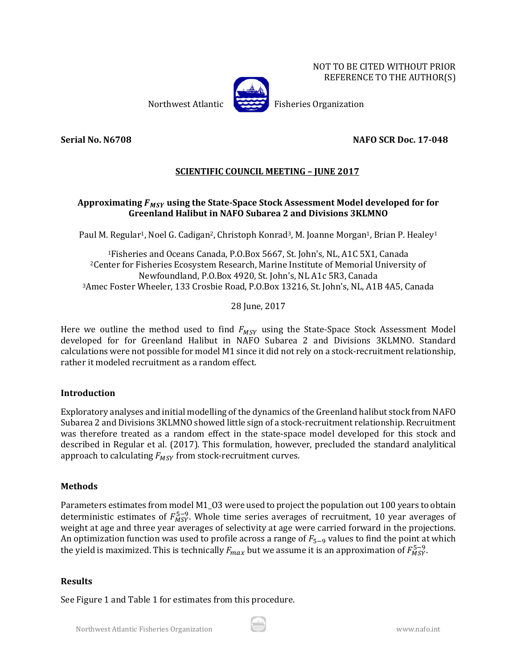NOT TO BE CITED WITHOUT PRIOR REFERENCE TO THE AUTHOR(S)



Northwest Atlantic Fisheries Organization

**Serial No. N6708 NAFO SCR Doc. 17-048**

# **SCIENTIFIC COUNCIL MEETING – JUNE 2017**

## Approximating  $F_{MSY}$  using the State-Space Stock Assessment Model developed for for **Greenland Halibut in NAFO Subarea 2 and Divisions 3KLMNO**

Paul M. Regular<sup>1</sup>, Noel G. Cadigan<sup>2</sup>, Christoph Konrad<sup>3</sup>, M. Joanne Morgan<sup>1</sup>, Brian P. Healey<sup>1</sup>

1Fisheries and Oceans Canada, P.O.Box 5667, St. John's, NL, A1C 5X1, Canada 2Center for Fisheries Ecosystem Research, Marine Institute of Memorial University of Newfoundland, P.O.Box 4920, St. John's, NL A1c 5R3, Canada 3Amec Foster Wheeler, 133 Crosbie Road, P.O.Box 13216, St. John's, NL, A1B 4A5, Canada

28 June, 2017

Here we outline the method used to find  $F_{MSY}$  using the State-Space Stock Assessment Model developed for for Greenland Halibut in NAFO Subarea 2 and Divisions 3KLMNO. Standard calculations were not possible for model M1 since it did not rely on a stock-recruitment relationship, rather it modeled recruitment as a random effect.

### **Introduction**

Exploratory analyses and initial modelling of the dynamics of the Greenland halibut stock from NAFO Subarea 2 and Divisions 3KLMNO showed little sign of a stock-recruitment relationship. Recruitment was therefore treated as a random effect in the state-space model developed for this stock and described in Regular et al. (2017). This formulation, however, precluded the standard analylitical approach to calculating  $F_{MSV}$  from stock-recruitment curves.

### **Methods**

Parameters estimates from model M1\_O3 were used to project the population out 100 years to obtain deterministic estimates of  $F_{MSY}^{5-9}$ . Whole time series averages of recruitment, 10 year averages of weight at age and three year averages of selectivity at age were carried forward in the projections. An optimization function was used to profile across a range of  $F_{5-9}$  values to find the point at which the yield is maximized. This is technically  $F_{max}$  but we assume it is an approximation of  $F_{MSY}^{\rm 5–9.}$ 

#### **Results**

See Figure 1 and Table 1 for estimates from this procedure.